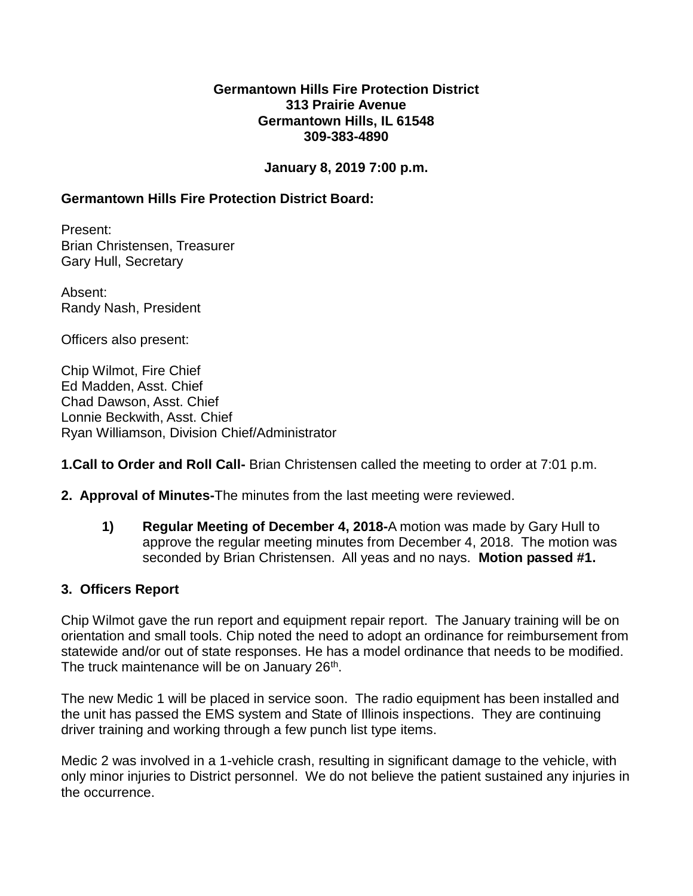#### **Germantown Hills Fire Protection District 313 Prairie Avenue Germantown Hills, IL 61548 309-383-4890**

### **January 8, 2019 7:00 p.m.**

# **Germantown Hills Fire Protection District Board:**

Present: Brian Christensen, Treasurer Gary Hull, Secretary

Absent: Randy Nash, President

Officers also present:

Chip Wilmot, Fire Chief Ed Madden, Asst. Chief Chad Dawson, Asst. Chief Lonnie Beckwith, Asst. Chief Ryan Williamson, Division Chief/Administrator

**1.Call to Order and Roll Call-** Brian Christensen called the meeting to order at 7:01 p.m.

- **2. Approval of Minutes-**The minutes from the last meeting were reviewed.
	- **1) Regular Meeting of December 4, 2018-**A motion was made by Gary Hull to approve the regular meeting minutes from December 4, 2018. The motion was seconded by Brian Christensen. All yeas and no nays. **Motion passed #1.**

#### **3. Officers Report**

Chip Wilmot gave the run report and equipment repair report. The January training will be on orientation and small tools. Chip noted the need to adopt an ordinance for reimbursement from statewide and/or out of state responses. He has a model ordinance that needs to be modified. The truck maintenance will be on January 26<sup>th</sup>.

The new Medic 1 will be placed in service soon. The radio equipment has been installed and the unit has passed the EMS system and State of Illinois inspections. They are continuing driver training and working through a few punch list type items.

Medic 2 was involved in a 1-vehicle crash, resulting in significant damage to the vehicle, with only minor injuries to District personnel. We do not believe the patient sustained any injuries in the occurrence.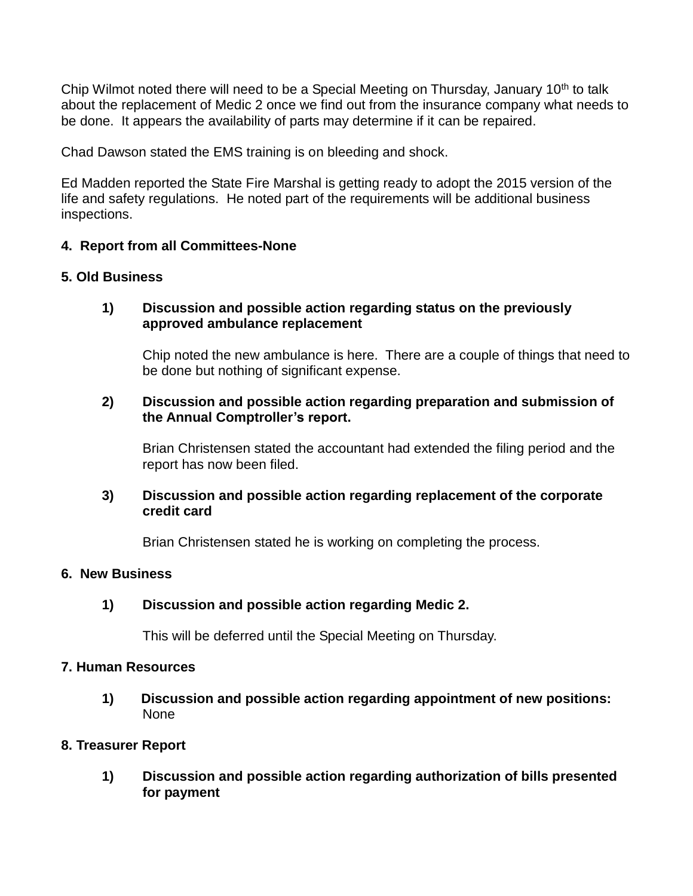Chip Wilmot noted there will need to be a Special Meeting on Thursday, January 10<sup>th</sup> to talk about the replacement of Medic 2 once we find out from the insurance company what needs to be done. It appears the availability of parts may determine if it can be repaired.

Chad Dawson stated the EMS training is on bleeding and shock.

Ed Madden reported the State Fire Marshal is getting ready to adopt the 2015 version of the life and safety regulations. He noted part of the requirements will be additional business inspections.

# **4. Report from all Committees-None**

# **5. Old Business**

# **1) Discussion and possible action regarding status on the previously approved ambulance replacement**

Chip noted the new ambulance is here. There are a couple of things that need to be done but nothing of significant expense.

# **2) Discussion and possible action regarding preparation and submission of the Annual Comptroller's report.**

Brian Christensen stated the accountant had extended the filing period and the report has now been filed.

### **3) Discussion and possible action regarding replacement of the corporate credit card**

Brian Christensen stated he is working on completing the process.

### **6. New Business**

### **1) Discussion and possible action regarding Medic 2.**

This will be deferred until the Special Meeting on Thursday.

#### **7. Human Resources**

**1) Discussion and possible action regarding appointment of new positions:** None

#### **8. Treasurer Report**

**1) Discussion and possible action regarding authorization of bills presented for payment**